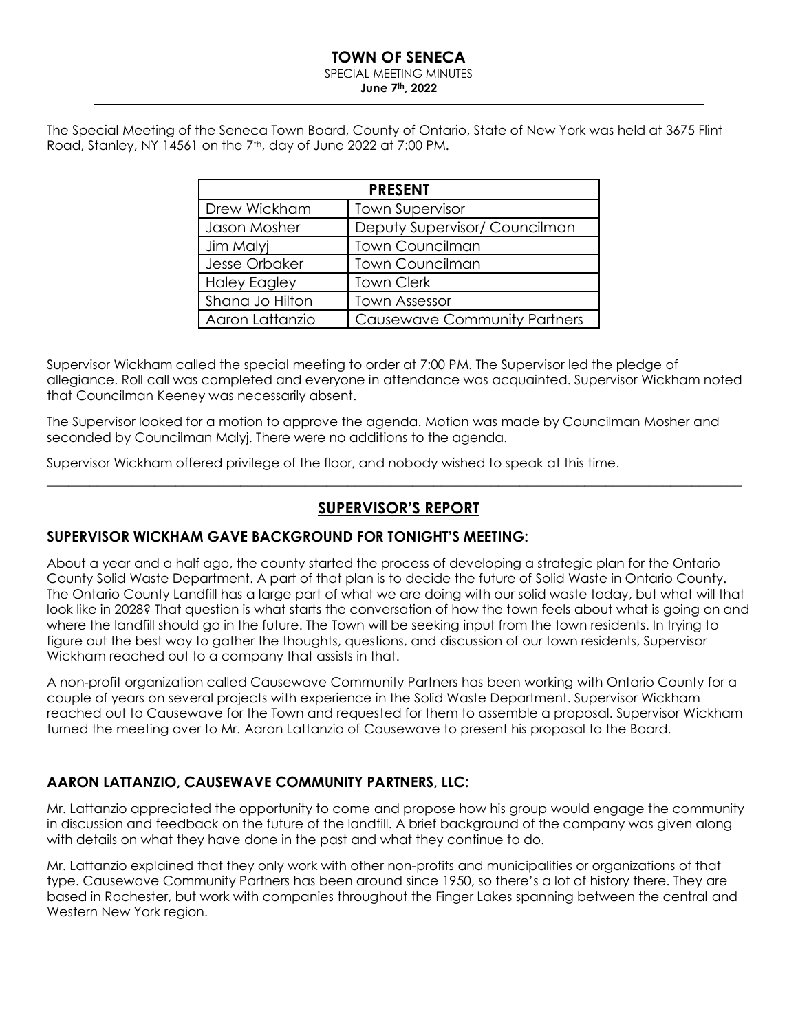# **TOWN OF SENECA**

# SPECIAL MEETING MINUTES

**June 7th, 2022**

The Special Meeting of the Seneca Town Board, County of Ontario, State of New York was held at 3675 Flint Road, Stanley, NY 14561 on the 7<sup>th</sup>, day of June 2022 at 7:00 PM.

| <b>PRESENT</b>      |                                     |  |  |  |
|---------------------|-------------------------------------|--|--|--|
| Drew Wickham        | <b>Town Supervisor</b>              |  |  |  |
| Jason Mosher        | Deputy Supervisor/ Councilman       |  |  |  |
| Jim Malyj           | <b>Town Councilman</b>              |  |  |  |
| Jesse Orbaker       | <b>Town Councilman</b>              |  |  |  |
| <b>Haley Eagley</b> | <b>Town Clerk</b>                   |  |  |  |
| Shana Jo Hilton     | <b>Town Assessor</b>                |  |  |  |
| Aaron Lattanzio     | <b>Causewave Community Partners</b> |  |  |  |

Supervisor Wickham called the special meeting to order at 7:00 PM. The Supervisor led the pledge of allegiance. Roll call was completed and everyone in attendance was acquainted. Supervisor Wickham noted that Councilman Keeney was necessarily absent.

The Supervisor looked for a motion to approve the agenda. Motion was made by Councilman Mosher and seconded by Councilman Malyj. There were no additions to the agenda.

Supervisor Wickham offered privilege of the floor, and nobody wished to speak at this time.

# **SUPERVISOR'S REPORT**

 $\_$  , and the set of the set of the set of the set of the set of the set of the set of the set of the set of the set of the set of the set of the set of the set of the set of the set of the set of the set of the set of th

### **SUPERVISOR WICKHAM GAVE BACKGROUND FOR TONIGHT'S MEETING:**

About a year and a half ago, the county started the process of developing a strategic plan for the Ontario County Solid Waste Department. A part of that plan is to decide the future of Solid Waste in Ontario County. The Ontario County Landfill has a large part of what we are doing with our solid waste today, but what will that look like in 2028? That question is what starts the conversation of how the town feels about what is going on and where the landfill should go in the future. The Town will be seeking input from the town residents. In trying to figure out the best way to gather the thoughts, questions, and discussion of our town residents, Supervisor Wickham reached out to a company that assists in that.

A non-profit organization called Causewave Community Partners has been working with Ontario County for a couple of years on several projects with experience in the Solid Waste Department. Supervisor Wickham reached out to Causewave for the Town and requested for them to assemble a proposal. Supervisor Wickham turned the meeting over to Mr. Aaron Lattanzio of Causewave to present his proposal to the Board.

### **AARON LATTANZIO, CAUSEWAVE COMMUNITY PARTNERS, LLC:**

Mr. Lattanzio appreciated the opportunity to come and propose how his group would engage the community in discussion and feedback on the future of the landfill. A brief background of the company was given along with details on what they have done in the past and what they continue to do.

Mr. Lattanzio explained that they only work with other non-profits and municipalities or organizations of that type. Causewave Community Partners has been around since 1950, so there's a lot of history there. They are based in Rochester, but work with companies throughout the Finger Lakes spanning between the central and Western New York region.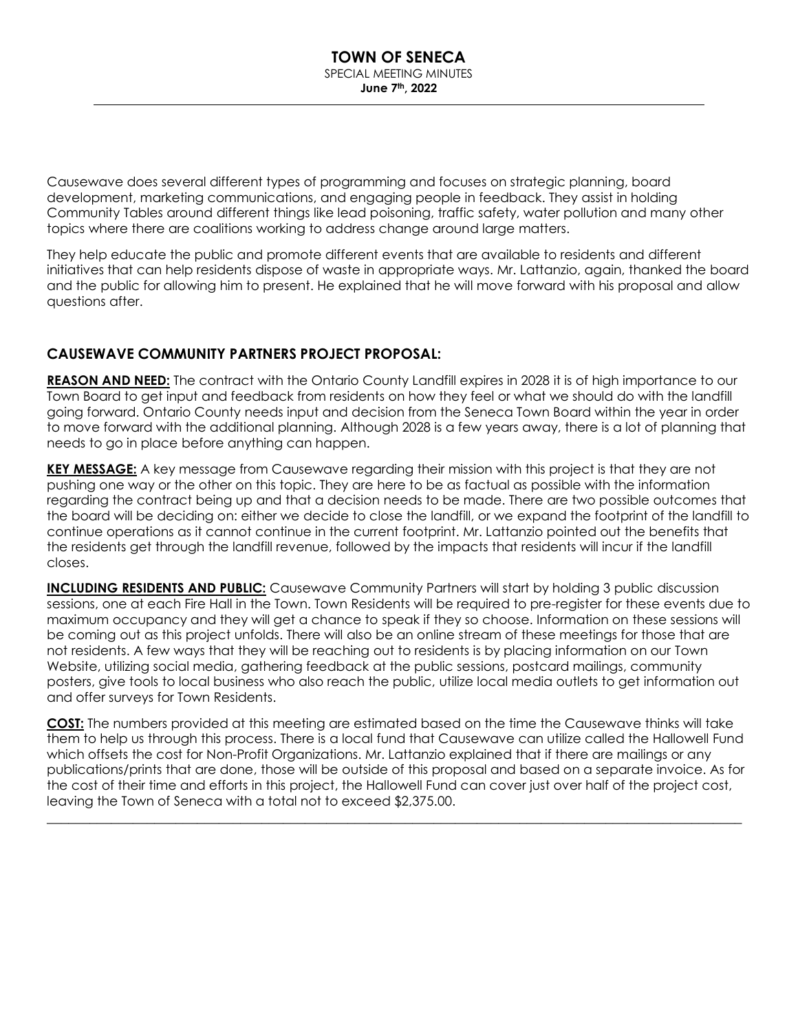Causewave does several different types of programming and focuses on strategic planning, board development, marketing communications, and engaging people in feedback. They assist in holding Community Tables around different things like lead poisoning, traffic safety, water pollution and many other topics where there are coalitions working to address change around large matters.

They help educate the public and promote different events that are available to residents and different initiatives that can help residents dispose of waste in appropriate ways. Mr. Lattanzio, again, thanked the board and the public for allowing him to present. He explained that he will move forward with his proposal and allow questions after.

# **CAUSEWAVE COMMUNITY PARTNERS PROJECT PROPOSAL:**

**REASON AND NEED:** The contract with the Ontario County Landfill expires in 2028 it is of high importance to our Town Board to get input and feedback from residents on how they feel or what we should do with the landfill going forward. Ontario County needs input and decision from the Seneca Town Board within the year in order to move forward with the additional planning. Although 2028 is a few years away, there is a lot of planning that needs to go in place before anything can happen.

**KEY MESSAGE:** A key message from Causewave regarding their mission with this project is that they are not pushing one way or the other on this topic. They are here to be as factual as possible with the information regarding the contract being up and that a decision needs to be made. There are two possible outcomes that the board will be deciding on: either we decide to close the landfill, or we expand the footprint of the landfill to continue operations as it cannot continue in the current footprint. Mr. Lattanzio pointed out the benefits that the residents get through the landfill revenue, followed by the impacts that residents will incur if the landfill closes.

**INCLUDING RESIDENTS AND PUBLIC:** Causewave Community Partners will start by holding 3 public discussion sessions, one at each Fire Hall in the Town. Town Residents will be required to pre-register for these events due to maximum occupancy and they will get a chance to speak if they so choose. Information on these sessions will be coming out as this project unfolds. There will also be an online stream of these meetings for those that are not residents. A few ways that they will be reaching out to residents is by placing information on our Town Website, utilizing social media, gathering feedback at the public sessions, postcard mailings, community posters, give tools to local business who also reach the public, utilize local media outlets to get information out and offer surveys for Town Residents.

**COST:** The numbers provided at this meeting are estimated based on the time the Causewave thinks will take them to help us through this process. There is a local fund that Causewave can utilize called the Hallowell Fund which offsets the cost for Non-Profit Organizations. Mr. Lattanzio explained that if there are mailings or any publications/prints that are done, those will be outside of this proposal and based on a separate invoice. As for the cost of their time and efforts in this project, the Hallowell Fund can cover just over half of the project cost, leaving the Town of Seneca with a total not to exceed \$2,375.00.

\_\_\_\_\_\_\_\_\_\_\_\_\_\_\_\_\_\_\_\_\_\_\_\_\_\_\_\_\_\_\_\_\_\_\_\_\_\_\_\_\_\_\_\_\_\_\_\_\_\_\_\_\_\_\_\_\_\_\_\_\_\_\_\_\_\_\_\_\_\_\_\_\_\_\_\_\_\_\_\_\_\_\_\_\_\_\_\_\_\_\_\_\_\_\_\_\_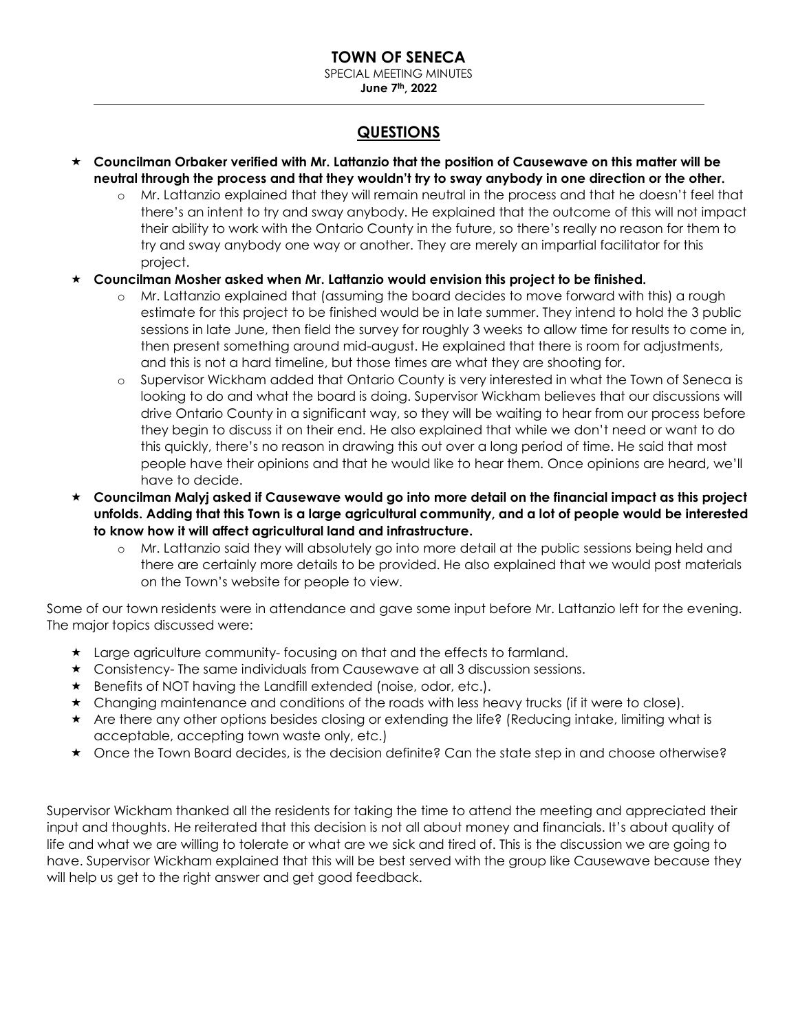**June 7th, 2022**

# **QUESTIONS**

- **Councilman Orbaker verified with Mr. Lattanzio that the position of Causewave on this matter will be neutral through the process and that they wouldn't try to sway anybody in one direction or the other.**
	- o Mr. Lattanzio explained that they will remain neutral in the process and that he doesn't feel that there's an intent to try and sway anybody. He explained that the outcome of this will not impact their ability to work with the Ontario County in the future, so there's really no reason for them to try and sway anybody one way or another. They are merely an impartial facilitator for this project.
- **Councilman Mosher asked when Mr. Lattanzio would envision this project to be finished.** 
	- o Mr. Lattanzio explained that (assuming the board decides to move forward with this) a rough estimate for this project to be finished would be in late summer. They intend to hold the 3 public sessions in late June, then field the survey for roughly 3 weeks to allow time for results to come in, then present something around mid-august. He explained that there is room for adjustments, and this is not a hard timeline, but those times are what they are shooting for.
	- o Supervisor Wickham added that Ontario County is very interested in what the Town of Seneca is looking to do and what the board is doing. Supervisor Wickham believes that our discussions will drive Ontario County in a significant way, so they will be waiting to hear from our process before they begin to discuss it on their end. He also explained that while we don't need or want to do this quickly, there's no reason in drawing this out over a long period of time. He said that most people have their opinions and that he would like to hear them. Once opinions are heard, we'll have to decide.
- **Councilman Malyj asked if Causewave would go into more detail on the financial impact as this project unfolds. Adding that this Town is a large agricultural community, and a lot of people would be interested to know how it will affect agricultural land and infrastructure.**
	- o Mr. Lattanzio said they will absolutely go into more detail at the public sessions being held and there are certainly more details to be provided. He also explained that we would post materials on the Town's website for people to view.

Some of our town residents were in attendance and gave some input before Mr. Lattanzio left for the evening. The major topics discussed were:

- Large agriculture community- focusing on that and the effects to farmland.
- Consistency- The same individuals from Causewave at all 3 discussion sessions.
- \* Benefits of NOT having the Landfill extended (noise, odor, etc.).
- $\star$  Changing maintenance and conditions of the roads with less heavy trucks (if it were to close).
- Are there any other options besides closing or extending the life? (Reducing intake, limiting what is acceptable, accepting town waste only, etc.)
- $\star$  Once the Town Board decides, is the decision definite? Can the state step in and choose otherwise?

Supervisor Wickham thanked all the residents for taking the time to attend the meeting and appreciated their input and thoughts. He reiterated that this decision is not all about money and financials. It's about quality of life and what we are willing to tolerate or what are we sick and tired of. This is the discussion we are going to have. Supervisor Wickham explained that this will be best served with the group like Causewave because they will help us get to the right answer and get good feedback.